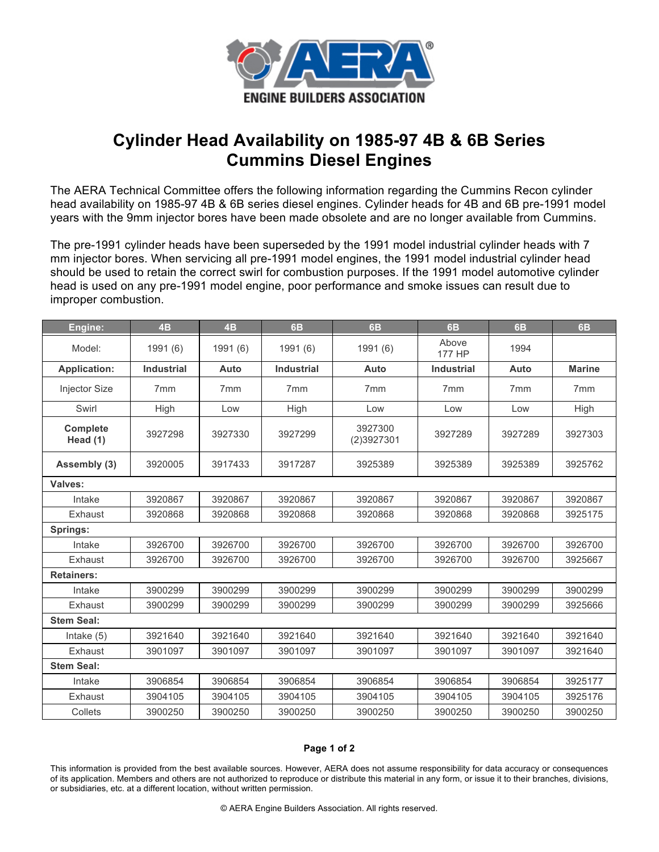

## **Cylinder Head Availability on 1985-97 4B & 6B Series Cummins Diesel Engines**

The AERA Technical Committee offers the following information regarding the Cummins Recon cylinder head availability on 1985-97 4B & 6B series diesel engines. Cylinder heads for 4B and 6B pre-1991 model years with the 9mm injector bores have been made obsolete and are no longer available from Cummins.

The pre-1991 cylinder heads have been superseded by the 1991 model industrial cylinder heads with 7 mm injector bores. When servicing all pre-1991 model engines, the 1991 model industrial cylinder head should be used to retain the correct swirl for combustion purposes. If the 1991 model automotive cylinder head is used on any pre-1991 model engine, poor performance and smoke issues can result due to improper combustion.

| Engine:              | 4B                | 4B              | <b>6B</b>         | <b>6B</b>             | 6B                | <b>6B</b>       | 6B              |
|----------------------|-------------------|-----------------|-------------------|-----------------------|-------------------|-----------------|-----------------|
| Model:               | 1991 (6)          | 1991 (6)        | 1991 (6)          | 1991 (6)              | Above<br>177 HP   | 1994            |                 |
| <b>Application:</b>  | <b>Industrial</b> | Auto            | <b>Industrial</b> | Auto                  | <b>Industrial</b> | Auto            | <b>Marine</b>   |
| <b>Injector Size</b> | 7 <sub>mm</sub>   | 7 <sub>mm</sub> | 7 <sub>mm</sub>   | 7 <sub>mm</sub>       | 7 <sub>mm</sub>   | 7 <sub>mm</sub> | 7 <sub>mm</sub> |
| Swirl                | High              | Low             | High              | Low                   | Low               | Low             | High            |
| Complete<br>Head (1) | 3927298           | 3927330         | 3927299           | 3927300<br>(2)3927301 | 3927289           | 3927289         | 3927303         |
| Assembly (3)         | 3920005           | 3917433         | 3917287           | 3925389               | 3925389           | 3925389         | 3925762         |
| Valves:              |                   |                 |                   |                       |                   |                 |                 |
| Intake               | 3920867           | 3920867         | 3920867           | 3920867               | 3920867           | 3920867         | 3920867         |
| Exhaust              | 3920868           | 3920868         | 3920868           | 3920868               | 3920868           | 3920868         | 3925175         |
| Springs:             |                   |                 |                   |                       |                   |                 |                 |
| Intake               | 3926700           | 3926700         | 3926700           | 3926700               | 3926700           | 3926700         | 3926700         |
| Exhaust              | 3926700           | 3926700         | 3926700           | 3926700               | 3926700           | 3926700         | 3925667         |
| <b>Retainers:</b>    |                   |                 |                   |                       |                   |                 |                 |
| Intake               | 3900299           | 3900299         | 3900299           | 3900299               | 3900299           | 3900299         | 3900299         |
| Exhaust              | 3900299           | 3900299         | 3900299           | 3900299               | 3900299           | 3900299         | 3925666         |
| <b>Stem Seal:</b>    |                   |                 |                   |                       |                   |                 |                 |
| Intake $(5)$         | 3921640           | 3921640         | 3921640           | 3921640               | 3921640           | 3921640         | 3921640         |
| Exhaust              | 3901097           | 3901097         | 3901097           | 3901097               | 3901097           | 3901097         | 3921640         |
| <b>Stem Seal:</b>    |                   |                 |                   |                       |                   |                 |                 |
| Intake               | 3906854           | 3906854         | 3906854           | 3906854               | 3906854           | 3906854         | 3925177         |
| Exhaust              | 3904105           | 3904105         | 3904105           | 3904105               | 3904105           | 3904105         | 3925176         |
| Collets              | 3900250           | 3900250         | 3900250           | 3900250               | 3900250           | 3900250         | 3900250         |

## **Page 1 of 2**

This information is provided from the best available sources. However, AERA does not assume responsibility for data accuracy or consequences of its application. Members and others are not authorized to reproduce or distribute this material in any form, or issue it to their branches, divisions, or subsidiaries, etc. at a different location, without written permission.